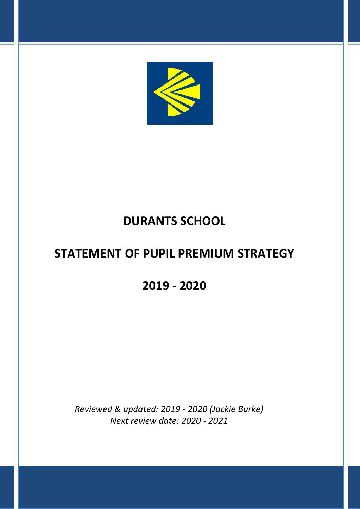

## **DURANTS SCHOOL**

# **STATEMENT OF PUPIL PREMIUM STRATEGY**

**2019 - 2020**

*Reviewed & updated: 2019 - 2020 (Jackie Burke) Next review date: 2020 - 2021*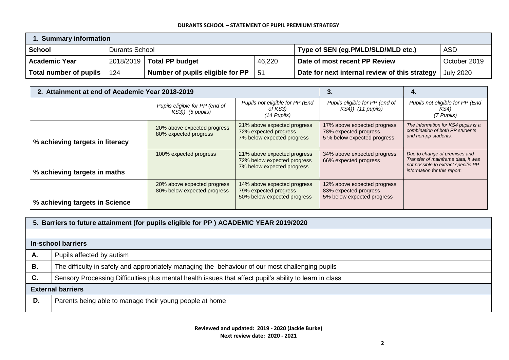| <b>Summary information</b> |                       |                                  |        |                                                |                  |  |  |
|----------------------------|-----------------------|----------------------------------|--------|------------------------------------------------|------------------|--|--|
| School                     | <b>Durants School</b> |                                  |        | Type of SEN (eg.PMLD/SLD/MLD etc.)             | <b>ASD</b>       |  |  |
| <b>Academic Year</b>       |                       | 2018/2019   Total PP budget      | 46,220 | Date of most recent PP Review                  | October 2019     |  |  |
| Total number of pupils     | 124                   | Number of pupils eligible for PP | $-51$  | Date for next internal review of this strategy | <b>July 2020</b> |  |  |

| 2. Attainment at end of Academic Year 2018-2019 |                                                            | 4.                                                                                       |                                                                                     |                                                                                                                                            |
|-------------------------------------------------|------------------------------------------------------------|------------------------------------------------------------------------------------------|-------------------------------------------------------------------------------------|--------------------------------------------------------------------------------------------------------------------------------------------|
|                                                 | Pupils eligible for PP (end of<br>$KS3)$ ) (5 pupils)      | Pupils not eligible for PP (End<br>of KS3)<br>$(14$ Pupils)                              | Pupils eligible for PP (end of<br>$KS4$ ) (11 pupils)                               | Pupils not eligible for PP (End<br>KS4)<br>(7 Pupils)                                                                                      |
| % achieving targets in literacy                 | 20% above expected progress<br>80% expected progress       | 21% above expected progress<br>72% expected progress<br>7% below expected progress       | 17% above expected progress<br>78% expected progress<br>5 % below expected progress | The information for KS4 pupils is a<br>combination of both PP students<br>and non-pp students.                                             |
| % achieving targets in maths                    | 100% expected progress                                     | 21% above expected progress<br>72% below expected progress<br>7% below expected progress | 34% above expected progress<br>66% expected progress                                | Due to change of premises and<br>Transfer of mainframe data, it was<br>not possible to extract specific PP<br>information for this report. |
| % achieving targets in Science                  | 20% above expected progress<br>80% below expected progress | 14% above expected progress<br>79% expected progress<br>50% below expected progress      | 12% above expected progress<br>83% expected progress<br>5% below expected progress  |                                                                                                                                            |

|    | 5. Barriers to future attainment (for pupils eligible for PP) ACADEMIC YEAR 2019/2020                   |  |  |  |  |
|----|---------------------------------------------------------------------------------------------------------|--|--|--|--|
|    |                                                                                                         |  |  |  |  |
|    | In-school barriers                                                                                      |  |  |  |  |
| А. | Pupils affected by autism                                                                               |  |  |  |  |
| В. | The difficulty in safely and appropriately managing the behaviour of our most challenging pupils        |  |  |  |  |
| C. | Sensory Processing Difficulties plus mental health issues that affect pupil's ability to learn in class |  |  |  |  |
|    | <b>External barriers</b>                                                                                |  |  |  |  |
| D. | Parents being able to manage their young people at home                                                 |  |  |  |  |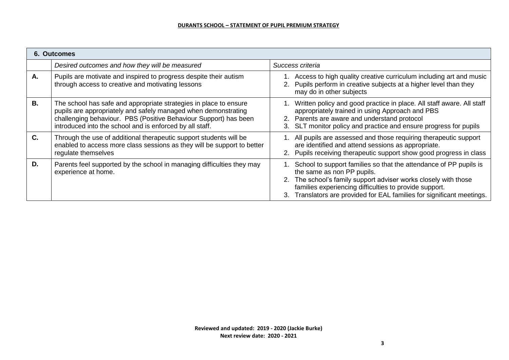| <b>6. Outcomes</b> |                                                                                                                                                                                                                                                                     |                                                                                                                                                                                                                                                                                                        |  |  |  |  |
|--------------------|---------------------------------------------------------------------------------------------------------------------------------------------------------------------------------------------------------------------------------------------------------------------|--------------------------------------------------------------------------------------------------------------------------------------------------------------------------------------------------------------------------------------------------------------------------------------------------------|--|--|--|--|
|                    | Desired outcomes and how they will be measured                                                                                                                                                                                                                      | Success criteria                                                                                                                                                                                                                                                                                       |  |  |  |  |
| Α.                 | Pupils are motivate and inspired to progress despite their autism<br>through access to creative and motivating lessons                                                                                                                                              | Access to high quality creative curriculum including art and music<br>2. Pupils perform in creative subjects at a higher level than they<br>may do in other subjects                                                                                                                                   |  |  |  |  |
| <b>B.</b>          | The school has safe and appropriate strategies in place to ensure<br>pupils are appropriately and safely managed when demonstrating<br>challenging behaviour. PBS (Positive Behaviour Support) has been<br>introduced into the school and is enforced by all staff. | Written policy and good practice in place. All staff aware. All staff<br>appropriately trained in using Approach and PBS<br>2. Parents are aware and understand protocol<br>SLT monitor policy and practice and ensure progress for pupils<br>3.                                                       |  |  |  |  |
| C.                 | Through the use of additional therapeutic support students will be<br>enabled to access more class sessions as they will be support to better<br>regulate themselves                                                                                                | 1. All pupils are assessed and those requiring therapeutic support<br>are identified and attend sessions as appropriate.<br>2. Pupils receiving therapeutic support show good progress in class                                                                                                        |  |  |  |  |
| D.                 | Parents feel supported by the school in managing difficulties they may<br>experience at home.                                                                                                                                                                       | School to support families so that the attendance of PP pupils is<br>the same as non PP pupils.<br>2. The school's family support adviser works closely with those<br>families experiencing difficulties to provide support.<br>3. Translators are provided for EAL families for significant meetings. |  |  |  |  |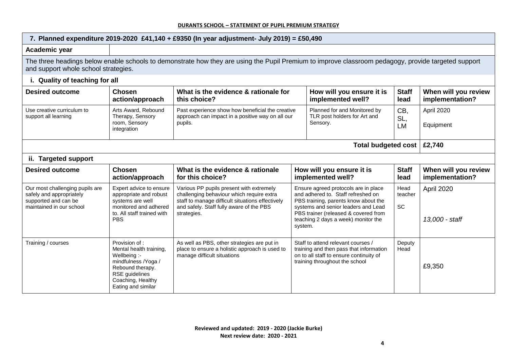| 7. Planned expenditure 2019-2020 £41,140 + £9350 (In year adjustment- July 2019) = £50,490                                                                                                  |                                                                                                                                                                  |                                                                                                                                                                                                      |                                                                                                                                                                                                                                                     |                                                                                                                                                            |                         |                                         |  |
|---------------------------------------------------------------------------------------------------------------------------------------------------------------------------------------------|------------------------------------------------------------------------------------------------------------------------------------------------------------------|------------------------------------------------------------------------------------------------------------------------------------------------------------------------------------------------------|-----------------------------------------------------------------------------------------------------------------------------------------------------------------------------------------------------------------------------------------------------|------------------------------------------------------------------------------------------------------------------------------------------------------------|-------------------------|-----------------------------------------|--|
| Academic year                                                                                                                                                                               |                                                                                                                                                                  |                                                                                                                                                                                                      |                                                                                                                                                                                                                                                     |                                                                                                                                                            |                         |                                         |  |
| The three headings below enable schools to demonstrate how they are using the Pupil Premium to improve classroom pedagogy, provide targeted support<br>and support whole school strategies. |                                                                                                                                                                  |                                                                                                                                                                                                      |                                                                                                                                                                                                                                                     |                                                                                                                                                            |                         |                                         |  |
| i. Quality of teaching for all                                                                                                                                                              |                                                                                                                                                                  |                                                                                                                                                                                                      |                                                                                                                                                                                                                                                     |                                                                                                                                                            |                         |                                         |  |
| <b>Desired outcome</b>                                                                                                                                                                      | <b>Chosen</b><br>action/approach                                                                                                                                 | What is the evidence & rationale for<br>this choice?                                                                                                                                                 |                                                                                                                                                                                                                                                     | How will you ensure it is<br>implemented well?                                                                                                             | <b>Staff</b><br>lead    | When will you review<br>implementation? |  |
| Use creative curriculum to<br>support all learning                                                                                                                                          | Arts Award, Rebound<br>Therapy, Sensory<br>room, Sensory<br>integration                                                                                          | Past experience show how beneficial the creative<br>Planned for and Monitored by<br>approach can impact in a positive way on all our<br>TLR post holders for Art and<br>pupils.<br>Sensory.          |                                                                                                                                                                                                                                                     | CB.<br>SL,<br><b>LM</b>                                                                                                                                    | April 2020<br>Equipment |                                         |  |
| Total budgeted cost<br>£2,740                                                                                                                                                               |                                                                                                                                                                  |                                                                                                                                                                                                      |                                                                                                                                                                                                                                                     |                                                                                                                                                            |                         |                                         |  |
| ii. Targeted support                                                                                                                                                                        |                                                                                                                                                                  |                                                                                                                                                                                                      |                                                                                                                                                                                                                                                     |                                                                                                                                                            |                         |                                         |  |
| <b>Desired outcome</b>                                                                                                                                                                      | <b>Chosen</b><br>action/approach                                                                                                                                 | What is the evidence & rationale<br>for this choice?                                                                                                                                                 | How will you ensure it is<br>implemented well?                                                                                                                                                                                                      |                                                                                                                                                            | <b>Staff</b><br>lead    | When will you review<br>implementation? |  |
| Our most challenging pupils are<br>safely and appropriately<br>supported and can be<br>maintained in our school                                                                             | Expert advice to ensure<br>appropriate and robust<br>systems are well<br>monitored and adhered<br>to. All staff trained with<br><b>PBS</b>                       | Various PP pupils present with extremely<br>challenging behaviour which require extra<br>staff to manage difficult situations effectively<br>and safely. Staff fully aware of the PBS<br>strategies. | Ensure agreed protocols are in place<br>and adhered to. Staff refreshed on<br>PBS training, parents know about the<br>systems and senior leaders and Lead<br>PBS trainer (released & covered from<br>teaching 2 days a week) monitor the<br>system. |                                                                                                                                                            | Head<br>teacher<br>SC   | April 2020<br>13,000 - staff            |  |
| Training / courses                                                                                                                                                                          | Provision of:<br>Mental health training,<br>Wellbeing :-<br>mindfulness /Yoga /<br>Rebound therapy.<br>RSE guidelines<br>Coaching, Healthy<br>Eating and similar | As well as PBS, other strategies are put in<br>place to ensure a holistic approach is used to<br>manage difficult situations                                                                         |                                                                                                                                                                                                                                                     | Staff to attend relevant courses /<br>training and then pass that information<br>on to all staff to ensure continuity of<br>training throughout the school | Deputy<br>Head          | £9,350                                  |  |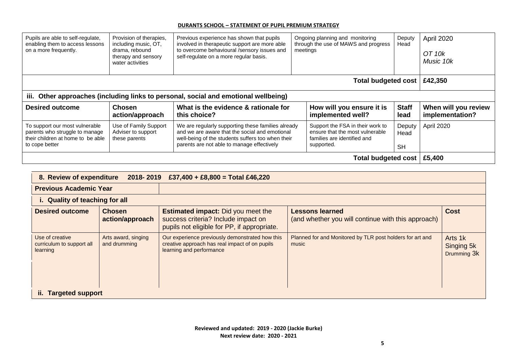| Pupils are able to self-regulate,<br>enabling them to access lessons<br>on a more frequently.                           | Provision of therapies,<br>including music, OT,<br>drama, rebound<br>therapy and sensory<br>water activities | Previous experience has shown that pupils<br>involved in therapeutic support are more able<br>to overcome behavioural /sensory issues and<br>self-regulate on a more regular basis.                     | Ongoing planning and monitoring<br>through the use of MAWS and progress<br>meetings                              | Deputy<br>Head              | April 2020<br>OT 10k<br>Music 10k       |  |  |  |
|-------------------------------------------------------------------------------------------------------------------------|--------------------------------------------------------------------------------------------------------------|---------------------------------------------------------------------------------------------------------------------------------------------------------------------------------------------------------|------------------------------------------------------------------------------------------------------------------|-----------------------------|-----------------------------------------|--|--|--|
|                                                                                                                         | <b>Total budgeted cost</b><br>£42,350                                                                        |                                                                                                                                                                                                         |                                                                                                                  |                             |                                         |  |  |  |
| iii. Other approaches (including links to personal, social and emotional wellbeing)                                     |                                                                                                              |                                                                                                                                                                                                         |                                                                                                                  |                             |                                         |  |  |  |
| <b>Desired outcome</b>                                                                                                  | <b>Chosen</b><br>action/approach                                                                             | What is the evidence & rationale for<br>this choice?                                                                                                                                                    | How will you ensure it is<br>implemented well?                                                                   | <b>Staff</b><br>lead        | When will you review<br>implementation? |  |  |  |
| To support our most vulnerable<br>parents who struggle to manage<br>their children at home to be able<br>to cope better | Use of Family Support<br>Adviser to support<br>these parents                                                 | We are regularly supporting these families already<br>and we are aware that the social and emotional<br>well-being of the students suffers too when their<br>parents are not able to manage effectively | Support the FSA in their work to<br>ensure that the most vulnerable<br>families are identified and<br>supported. | Deputy<br>Head<br><b>SH</b> | April 2020                              |  |  |  |
| Total budgeted cost   £5,400                                                                                            |                                                                                                              |                                                                                                                                                                                                         |                                                                                                                  |                             |                                         |  |  |  |

| 8. Review of expenditure<br>£37,400 + £8,800 = Total £46,220<br>2018-2019 |                                     |                                                                                                                                 |                                                                              |                                      |  |  |  |  |
|---------------------------------------------------------------------------|-------------------------------------|---------------------------------------------------------------------------------------------------------------------------------|------------------------------------------------------------------------------|--------------------------------------|--|--|--|--|
| <b>Previous Academic Year</b>                                             |                                     |                                                                                                                                 |                                                                              |                                      |  |  |  |  |
|                                                                           | i. Quality of teaching for all      |                                                                                                                                 |                                                                              |                                      |  |  |  |  |
| <b>Desired outcome</b>                                                    | <b>Chosen</b><br>action/approach    | <b>Estimated impact:</b> Did you meet the<br>success criteria? Include impact on<br>pupils not eligible for PP, if appropriate. | <b>Lessons learned</b><br>(and whether you will continue with this approach) | <b>Cost</b>                          |  |  |  |  |
| Use of creative<br>curriculum to support all<br>learning                  | Arts award, singing<br>and drumming | Our experience previously demonstrated how this<br>creative approach has real impact of on pupils<br>learning and performance   | Planned for and Monitored by TLR post holders for art and<br>music           | Arts 1k<br>Singing 5k<br>Drumming 3k |  |  |  |  |
|                                                                           |                                     |                                                                                                                                 |                                                                              |                                      |  |  |  |  |
| <b>Targeted support</b><br>н.                                             |                                     |                                                                                                                                 |                                                                              |                                      |  |  |  |  |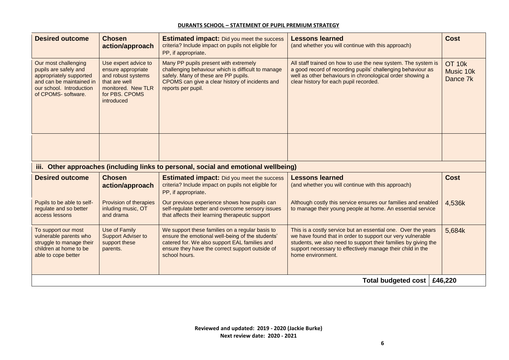| <b>Desired outcome</b>                                                                                                                                  | <b>Chosen</b><br>action/approach                                                                                                        | <b>Estimated impact:</b> Did you meet the success<br>criteria? Include impact on pupils not eligible for<br>PP, if appropriate.                                                                                          | <b>Lessons learned</b><br>(and whether you will continue with this approach)                                                                                                                                                                                                     | <b>Cost</b>                     |
|---------------------------------------------------------------------------------------------------------------------------------------------------------|-----------------------------------------------------------------------------------------------------------------------------------------|--------------------------------------------------------------------------------------------------------------------------------------------------------------------------------------------------------------------------|----------------------------------------------------------------------------------------------------------------------------------------------------------------------------------------------------------------------------------------------------------------------------------|---------------------------------|
| Our most challenging<br>pupils are safely and<br>appropriately supported<br>and can be maintained in<br>our school. Introduction<br>of CPOMS- software. | Use expert advice to<br>ensure appropriate<br>and robust systems<br>that are well<br>monitored. New TLR<br>for PBS. CPOMS<br>introduced | Many PP pupils present with extremely<br>challenging behaviour which is difficult to manage<br>safely. Many of these are PP pupils.<br>CPOMS can give a clear history of incidents and<br>reports per pupil.             | All staff trained on how to use the new system. The system is<br>a good record of recording pupils' challenging behaviour as<br>well as other behaviours in chronological order showing a<br>clear history for each pupil recorded.                                              | OT 10k<br>Music 10k<br>Dance 7k |
|                                                                                                                                                         |                                                                                                                                         |                                                                                                                                                                                                                          |                                                                                                                                                                                                                                                                                  |                                 |
|                                                                                                                                                         |                                                                                                                                         | iii. Other approaches (including links to personal, social and emotional wellbeing)                                                                                                                                      |                                                                                                                                                                                                                                                                                  |                                 |
| <b>Desired outcome</b>                                                                                                                                  | <b>Chosen</b><br>action/approach                                                                                                        | <b>Estimated impact:</b> Did you meet the success<br>criteria? Include impact on pupils not eligible for<br>PP, if appropriate.                                                                                          | <b>Lessons learned</b><br>(and whether you will continue with this approach)                                                                                                                                                                                                     | <b>Cost</b>                     |
| Pupils to be able to self-<br>regulate and so better<br>access lessons                                                                                  | Provision of therapies<br>inluding music, OT<br>and drama                                                                               | Our previous experience shows how pupils can<br>self-regulate better and overcome sensory issues<br>that affects their learning therapeutic support                                                                      | Although costly this service ensures our families and enabled<br>to manage their young people at home. An essential service                                                                                                                                                      | 4,536k                          |
| To support our most<br>vulnerable parents who<br>struggle to manage their<br>children at home to be<br>able to cope better                              | Use of Family<br><b>Support Adviser to</b><br>support these<br>parents.                                                                 | We support these families on a regular basis to<br>ensure the emotional well-being of the students'<br>catered for. We also support EAL families and<br>ensure they have the correct support outside of<br>school hours. | This is a costly service but an essential one. Over the years<br>we have found that in order to support our very vulnerable<br>students, we also need to support their families by giving the<br>support necessary to effectively manage their child in the<br>home environment. | 5,684k                          |
|                                                                                                                                                         |                                                                                                                                         |                                                                                                                                                                                                                          | Total budgeted cost                                                                                                                                                                                                                                                              | £46,220                         |